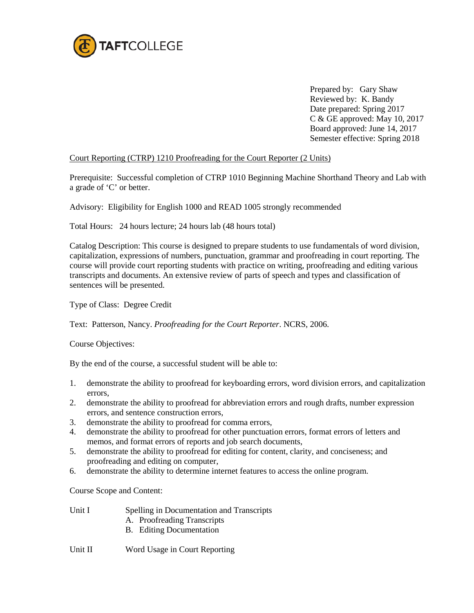

Prepared by: Gary Shaw Reviewed by: K. Bandy Date prepared: Spring 2017 C & GE approved: May 10, 2017 Board approved: June 14, 2017 Semester effective: Spring 2018

# Court Reporting (CTRP) 1210 Proofreading for the Court Reporter (2 Units)

Prerequisite: Successful completion of CTRP 1010 Beginning Machine Shorthand Theory and Lab with a grade of 'C' or better.

Advisory: Eligibility for English 1000 and READ 1005 strongly recommended

Total Hours: 24 hours lecture; 24 hours lab (48 hours total)

Catalog Description: This course is designed to prepare students to use fundamentals of word division, capitalization, expressions of numbers, punctuation, grammar and proofreading in court reporting. The course will provide court reporting students with practice on writing, proofreading and editing various transcripts and documents. An extensive review of parts of speech and types and classification of sentences will be presented.

Type of Class: Degree Credit

Text: Patterson, Nancy. *Proofreading for the Court Reporter*. NCRS, 2006.

Course Objectives:

By the end of the course, a successful student will be able to:

- 1. demonstrate the ability to proofread for keyboarding errors, word division errors, and capitalization errors,
- 2. demonstrate the ability to proofread for abbreviation errors and rough drafts, number expression errors, and sentence construction errors,
- 3. demonstrate the ability to proofread for comma errors,
- 4. demonstrate the ability to proofread for other punctuation errors, format errors of letters and memos, and format errors of reports and job search documents,
- 5. demonstrate the ability to proofread for editing for content, clarity, and conciseness; and proofreading and editing on computer,
- 6. demonstrate the ability to determine internet features to access the online program.

Course Scope and Content:

Unit I Spelling in Documentation and Transcripts

- A. Proofreading Transcripts
- B. Editing Documentation

## Unit II Word Usage in Court Reporting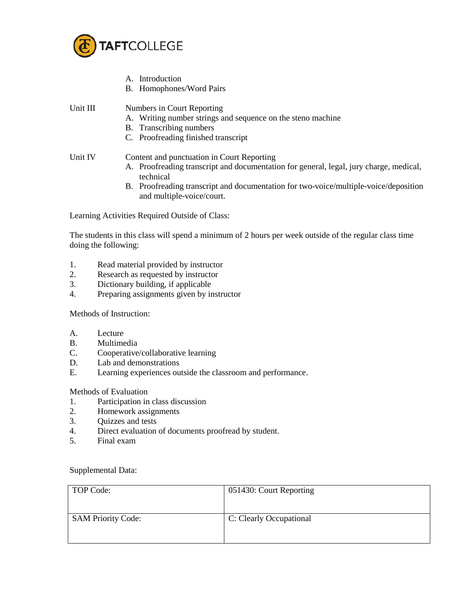

- A. Introduction
- B. Homophones/Word Pairs
- Unit III Numbers in Court Reporting
	- A. Writing number strings and sequence on the steno machine
	- B. Transcribing numbers
	- C. Proofreading finished transcript

# Unit IV Content and punctuation in Court Reporting

- A. Proofreading transcript and documentation for general, legal, jury charge, medical, technical
- B. Proofreading transcript and documentation for two-voice/multiple-voice/deposition and multiple-voice/court.

Learning Activities Required Outside of Class:

The students in this class will spend a minimum of 2 hours per week outside of the regular class time doing the following:

- 1. Read material provided by instructor
- 2. Research as requested by instructor
- 3. Dictionary building, if applicable
- 4. Preparing assignments given by instructor

Methods of Instruction:

- A. Lecture
- B. Multimedia
- C. Cooperative/collaborative learning
- D. Lab and demonstrations
- E. Learning experiences outside the classroom and performance.

## Methods of Evaluation

- 1. Participation in class discussion
- 2. Homework assignments
- 3. Quizzes and tests
- 4. Direct evaluation of documents proofread by student.
- 5. Final exam

## Supplemental Data:

| TOP Code:                 | 051430: Court Reporting |
|---------------------------|-------------------------|
| <b>SAM Priority Code:</b> | C: Clearly Occupational |